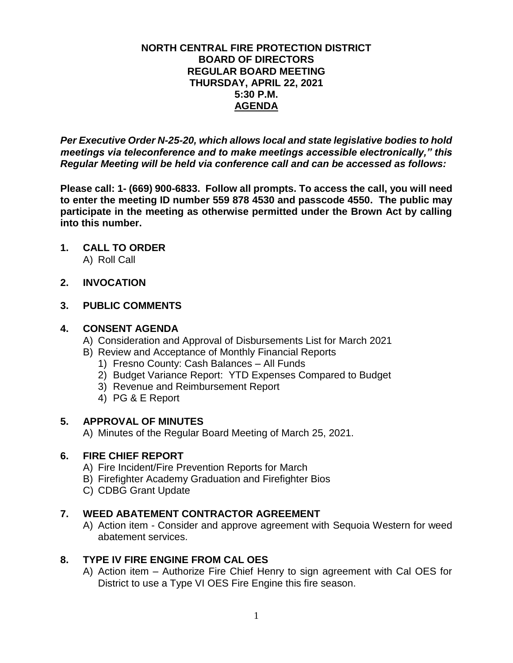### **NORTH CENTRAL FIRE PROTECTION DISTRICT BOARD OF DIRECTORS REGULAR BOARD MEETING THURSDAY, APRIL 22, 2021 5:30 P.M. AGENDA**

*Per Executive Order N-25-20, which allows local and state legislative bodies to hold meetings via teleconference and to make meetings accessible electronically," this Regular Meeting will be held via conference call and can be accessed as follows:*

**Please call: 1- (669) 900-6833. Follow all prompts. To access the call, you will need to enter the meeting ID number 559 878 4530 and passcode 4550. The public may participate in the meeting as otherwise permitted under the Brown Act by calling into this number.**

- **1. CALL TO ORDER** A) Roll Call
- **2. INVOCATION**

# **3. PUBLIC COMMENTS**

# **4. CONSENT AGENDA**

- A) Consideration and Approval of Disbursements List for March 2021
- B) Review and Acceptance of Monthly Financial Reports
	- 1) Fresno County: Cash Balances All Funds
	- 2) Budget Variance Report: YTD Expenses Compared to Budget
	- 3) Revenue and Reimbursement Report
	- 4) PG & E Report

# **5. APPROVAL OF MINUTES**

A) Minutes of the Regular Board Meeting of March 25, 2021.

# **6. FIRE CHIEF REPORT**

- A) Fire Incident/Fire Prevention Reports for March
- B) Firefighter Academy Graduation and Firefighter Bios
- C) CDBG Grant Update

# **7. WEED ABATEMENT CONTRACTOR AGREEMENT**

A) Action item - Consider and approve agreement with Sequoia Western for weed abatement services.

# **8. TYPE IV FIRE ENGINE FROM CAL OES**

A) Action item – Authorize Fire Chief Henry to sign agreement with Cal OES for District to use a Type VI OES Fire Engine this fire season.